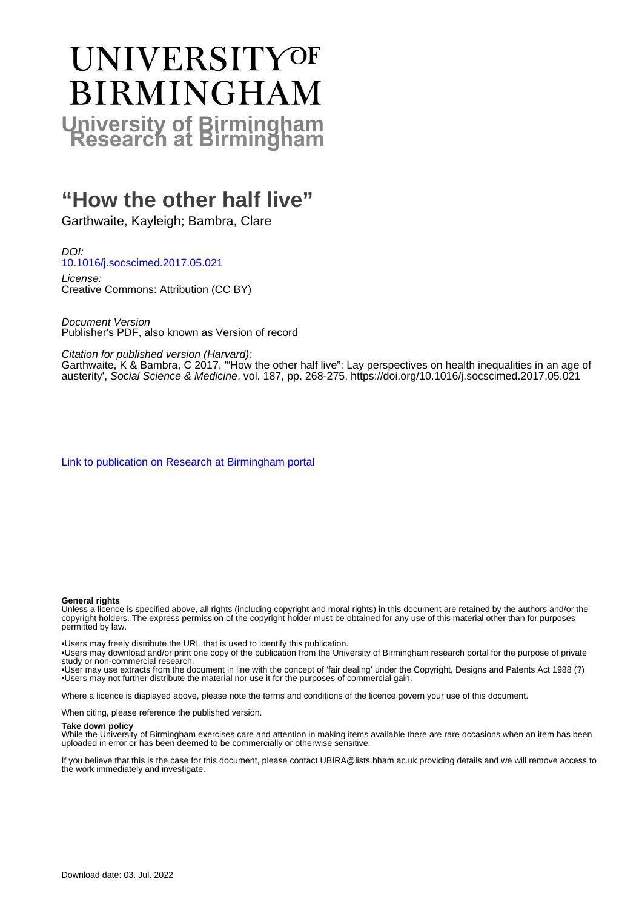# **UNIVERSITYOF BIRMINGHAM University of Birmingham**

# **"How the other half live"**

Garthwaite, Kayleigh; Bambra, Clare

DOI: [10.1016/j.socscimed.2017.05.021](https://doi.org/10.1016/j.socscimed.2017.05.021)

License: Creative Commons: Attribution (CC BY)

Document Version Publisher's PDF, also known as Version of record

Citation for published version (Harvard):

Garthwaite, K & Bambra, C 2017, '"How the other half live": Lay perspectives on health inequalities in an age of austerity', Social Science & Medicine, vol. 187, pp. 268-275.<https://doi.org/10.1016/j.socscimed.2017.05.021>

[Link to publication on Research at Birmingham portal](https://birmingham.elsevierpure.com/en/publications/1bb6591e-7d13-4cbe-bea6-0753ecb5892d)

#### **General rights**

Unless a licence is specified above, all rights (including copyright and moral rights) in this document are retained by the authors and/or the copyright holders. The express permission of the copyright holder must be obtained for any use of this material other than for purposes permitted by law.

• Users may freely distribute the URL that is used to identify this publication.

• Users may download and/or print one copy of the publication from the University of Birmingham research portal for the purpose of private study or non-commercial research.

• User may use extracts from the document in line with the concept of 'fair dealing' under the Copyright, Designs and Patents Act 1988 (?) • Users may not further distribute the material nor use it for the purposes of commercial gain.

Where a licence is displayed above, please note the terms and conditions of the licence govern your use of this document.

When citing, please reference the published version.

#### **Take down policy**

While the University of Birmingham exercises care and attention in making items available there are rare occasions when an item has been uploaded in error or has been deemed to be commercially or otherwise sensitive.

If you believe that this is the case for this document, please contact UBIRA@lists.bham.ac.uk providing details and we will remove access to the work immediately and investigate.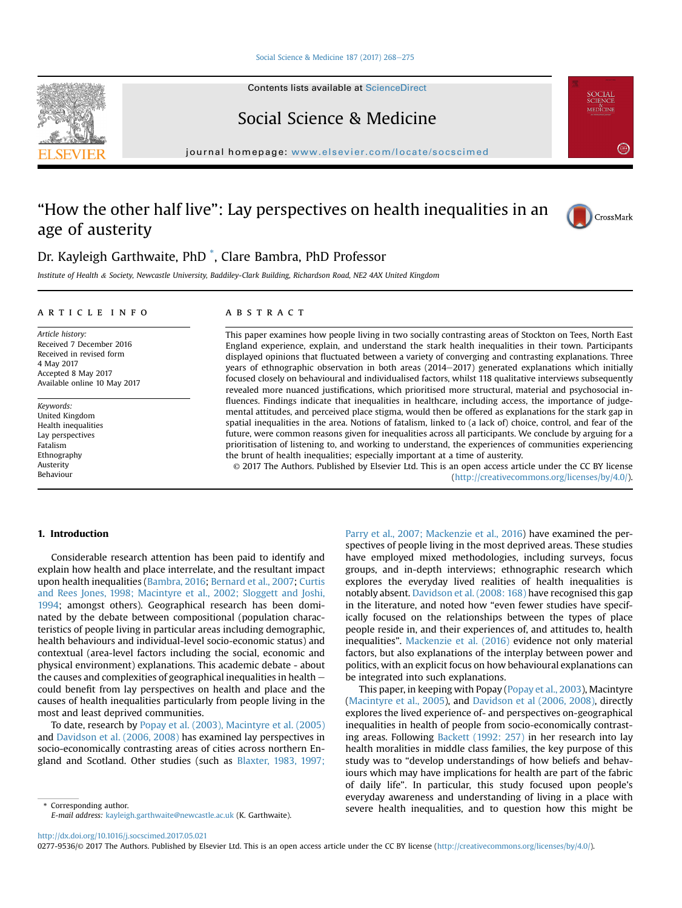#### [Social Science & Medicine 187 \(2017\) 268](http://dx.doi.org/10.1016/j.socscimed.2017.05.021)-[275](http://dx.doi.org/10.1016/j.socscimed.2017.05.021)

Contents lists available at [ScienceDirect](www.sciencedirect.com/science/journal/02779536)



Social Science & Medicine

journal homepage: [www.elsevier.com/locate/socscimed](http://www.elsevier.com/locate/socscimed)

## "How the other half live": Lay perspectives on health inequalities in an age of austerity



### Dr. Kayleigh Garthwaite, PhD \* , Clare Bambra, PhD Professor

Institute of Health & Society, Newcastle University, Baddiley-Clark Building, Richardson Road, NE2 4AX United Kingdom

#### article info

Article history: Received 7 December 2016 Received in revised form 4 May 2017 Accepted 8 May 2017 Available online 10 May 2017

Keywords: United Kingdom Health inequalities Lay perspectives Fatalism Ethnography Austerity Behaviour

#### **ABSTRACT**

This paper examines how people living in two socially contrasting areas of Stockton on Tees, North East England experience, explain, and understand the stark health inequalities in their town. Participants displayed opinions that fluctuated between a variety of converging and contrasting explanations. Three years of ethnographic observation in both areas (2014-2017) generated explanations which initially focused closely on behavioural and individualised factors, whilst 118 qualitative interviews subsequently revealed more nuanced justifications, which prioritised more structural, material and psychosocial influences. Findings indicate that inequalities in healthcare, including access, the importance of judgemental attitudes, and perceived place stigma, would then be offered as explanations for the stark gap in spatial inequalities in the area. Notions of fatalism, linked to (a lack of) choice, control, and fear of the future, were common reasons given for inequalities across all participants. We conclude by arguing for a prioritisation of listening to, and working to understand, the experiences of communities experiencing the brunt of health inequalities; especially important at a time of austerity.

© 2017 The Authors. Published by Elsevier Ltd. This is an open access article under the CC BY license [\(http://creativecommons.org/licenses/by/4.0/](http://creativecommons.org/licenses/by/4.0/)).

#### 1. Introduction

Considerable research attention has been paid to identify and explain how health and place interrelate, and the resultant impact upon health inequalities ([Bambra, 2016;](#page-7-0) [Bernard et al., 2007;](#page-7-0) [Curtis](#page-7-0) [and Rees Jones, 1998; Macintyre et al., 2002; Sloggett and Joshi,](#page-7-0) [1994](#page-7-0); amongst others). Geographical research has been dominated by the debate between compositional (population characteristics of people living in particular areas including demographic, health behaviours and individual-level socio-economic status) and contextual (area-level factors including the social, economic and physical environment) explanations. This academic debate - about the causes and complexities of geographical inequalities in health could benefit from lay perspectives on health and place and the causes of health inequalities particularly from people living in the most and least deprived communities.

To date, research by [Popay et al. \(2003\), Macintyre et al. \(2005\)](#page-8-0) and [Davidson et al. \(2006, 2008\)](#page-7-0) has examined lay perspectives in socio-economically contrasting areas of cities across northern England and Scotland. Other studies (such as [Blaxter, 1983, 1997;](#page-7-0)

E-mail address: [kayleigh.garthwaite@newcastle.ac.uk](mailto:kayleigh.garthwaite@newcastle.ac.uk) (K. Garthwaite).

[Parry et al., 2007; Mackenzie et al., 2016](#page-7-0)) have examined the perspectives of people living in the most deprived areas. These studies have employed mixed methodologies, including surveys, focus groups, and in-depth interviews; ethnographic research which explores the everyday lived realities of health inequalities is notably absent. [Davidson et al. \(2008: 168\)](#page-7-0) have recognised this gap in the literature, and noted how "even fewer studies have specifically focused on the relationships between the types of place people reside in, and their experiences of, and attitudes to, health inequalities". [Mackenzie et al. \(2016\)](#page-8-0) evidence not only material factors, but also explanations of the interplay between power and politics, with an explicit focus on how behavioural explanations can be integrated into such explanations.

This paper, in keeping with Popay [\(Popay et al., 2003](#page-8-0)), Macintyre ([Macintyre et al., 2005](#page-8-0)), and [Davidson et al \(2006, 2008\),](#page-7-0) directly explores the lived experience of- and perspectives on-geographical inequalities in health of people from socio-economically contrasting areas. Following [Backett \(1992: 257\)](#page-7-0) in her research into lay health moralities in middle class families, the key purpose of this study was to "develop understandings of how beliefs and behaviours which may have implications for health are part of the fabric of daily life". In particular, this study focused upon people's everyday awareness and understanding of living in a place with \* Corresponding author.<br>Figure 1.1 And the severe health inequalities, and to question how this might be

<http://dx.doi.org/10.1016/j.socscimed.2017.05.021>

0277-9536/© 2017 The Authors. Published by Elsevier Ltd. This is an open access article under the CC BY license ([http://creativecommons.org/licenses/by/4.0/\)](http://creativecommons.org/licenses/by/4.0/).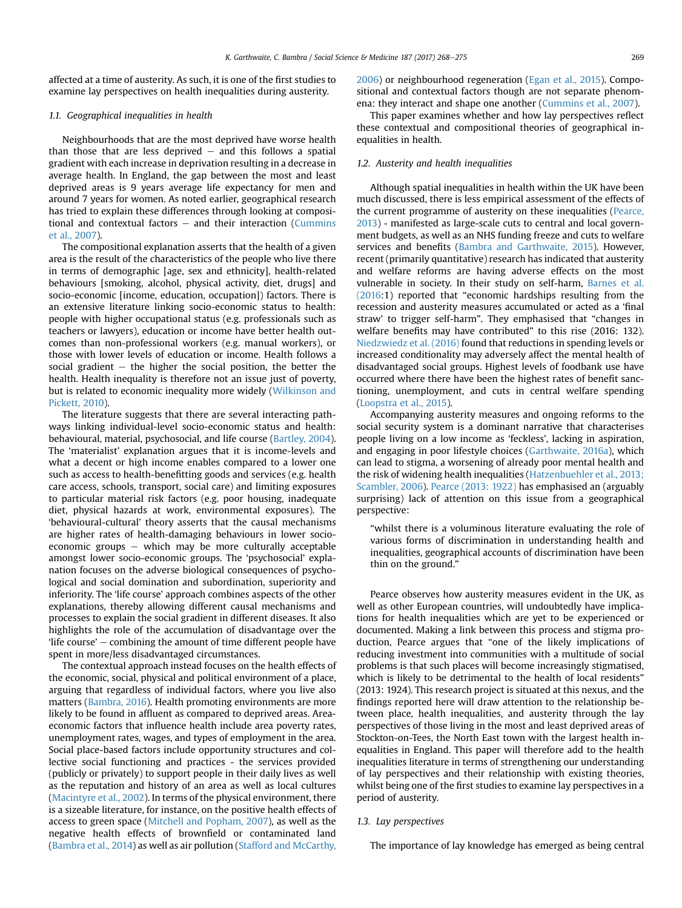affected at a time of austerity. As such, it is one of the first studies to examine lay perspectives on health inequalities during austerity.

#### 1.1. Geographical inequalities in health

Neighbourhoods that are the most deprived have worse health than those that are less deprived  $-$  and this follows a spatial gradient with each increase in deprivation resulting in a decrease in average health. In England, the gap between the most and least deprived areas is 9 years average life expectancy for men and around 7 years for women. As noted earlier, geographical research has tried to explain these differences through looking at compositional and contextual factors  $-$  and their interaction [\(Cummins](#page-7-0) [et al., 2007](#page-7-0)).

The compositional explanation asserts that the health of a given area is the result of the characteristics of the people who live there in terms of demographic [age, sex and ethnicity], health-related behaviours [smoking, alcohol, physical activity, diet, drugs] and socio-economic [income, education, occupation]) factors. There is an extensive literature linking socio-economic status to health: people with higher occupational status (e.g. professionals such as teachers or lawyers), education or income have better health outcomes than non-professional workers (e.g. manual workers), or those with lower levels of education or income. Health follows a social gradient  $-$  the higher the social position, the better the health. Health inequality is therefore not an issue just of poverty, but is related to economic inequality more widely [\(Wilkinson and](#page-8-0) [Pickett, 2010\)](#page-8-0).

The literature suggests that there are several interacting pathways linking individual-level socio-economic status and health: behavioural, material, psychosocial, and life course ([Bartley, 2004\)](#page-7-0). The 'materialist' explanation argues that it is income-levels and what a decent or high income enables compared to a lower one such as access to health-benefitting goods and services (e.g. health care access, schools, transport, social care) and limiting exposures to particular material risk factors (e.g. poor housing, inadequate diet, physical hazards at work, environmental exposures). The 'behavioural-cultural' theory asserts that the causal mechanisms are higher rates of health-damaging behaviours in lower socioeconomic groups  $-$  which may be more culturally acceptable amongst lower socio-economic groups. The 'psychosocial' explanation focuses on the adverse biological consequences of psychological and social domination and subordination, superiority and inferiority. The 'life course' approach combines aspects of the other explanations, thereby allowing different causal mechanisms and processes to explain the social gradient in different diseases. It also highlights the role of the accumulation of disadvantage over the 'life course'  $-$  combining the amount of time different people have spent in more/less disadvantaged circumstances.

The contextual approach instead focuses on the health effects of the economic, social, physical and political environment of a place, arguing that regardless of individual factors, where you live also matters ([Bambra, 2016](#page-7-0)). Health promoting environments are more likely to be found in affluent as compared to deprived areas. Areaeconomic factors that influence health include area poverty rates, unemployment rates, wages, and types of employment in the area. Social place-based factors include opportunity structures and collective social functioning and practices - the services provided (publicly or privately) to support people in their daily lives as well as the reputation and history of an area as well as local cultures ([Macintyre et al., 2002](#page-8-0)). In terms of the physical environment, there is a sizeable literature, for instance, on the positive health effects of access to green space [\(Mitchell and Popham, 2007](#page-8-0)), as well as the negative health effects of brownfield or contaminated land ([Bambra et al., 2014\)](#page-7-0) as well as air pollution ([Stafford and McCarthy,](#page-8-0)

[2006\)](#page-8-0) or neighbourhood regeneration [\(Egan et al., 2015\)](#page-7-0). Compositional and contextual factors though are not separate phenomena: they interact and shape one another ([Cummins et al., 2007](#page-7-0)).

This paper examines whether and how lay perspectives reflect these contextual and compositional theories of geographical inequalities in health.

#### 1.2. Austerity and health inequalities

Although spatial inequalities in health within the UK have been much discussed, there is less empirical assessment of the effects of the current programme of austerity on these inequalities ([Pearce,](#page-8-0) [2013\)](#page-8-0) - manifested as large-scale cuts to central and local government budgets, as well as an NHS funding freeze and cuts to welfare services and benefits ([Bambra and Garthwaite, 2015](#page-7-0)). However, recent (primarily quantitative) research has indicated that austerity and welfare reforms are having adverse effects on the most vulnerable in society. In their study on self-harm, [Barnes et al.](#page-7-0) [\(2016:](#page-7-0)1) reported that "economic hardships resulting from the recession and austerity measures accumulated or acted as a 'final straw' to trigger self-harm". They emphasised that "changes in welfare benefits may have contributed" to this rise (2016: 132). [Niedzwiedz et al. \(2016\)](#page-8-0) found that reductions in spending levels or increased conditionality may adversely affect the mental health of disadvantaged social groups. Highest levels of foodbank use have occurred where there have been the highest rates of benefit sanctioning, unemployment, and cuts in central welfare spending ([Loopstra et al., 2015](#page-8-0)).

Accompanying austerity measures and ongoing reforms to the social security system is a dominant narrative that characterises people living on a low income as 'feckless', lacking in aspiration, and engaging in poor lifestyle choices [\(Garthwaite, 2016a](#page-7-0)), which can lead to stigma, a worsening of already poor mental health and the risk of widening health inequalities ([Hatzenbuehler et al., 2013;](#page-8-0) [Scambler, 2006](#page-8-0)). [Pearce \(2013: 1922\)](#page-8-0) has emphasised an (arguably surprising) lack of attention on this issue from a geographical perspective:

"whilst there is a voluminous literature evaluating the role of various forms of discrimination in understanding health and inequalities, geographical accounts of discrimination have been thin on the ground."

Pearce observes how austerity measures evident in the UK, as well as other European countries, will undoubtedly have implications for health inequalities which are yet to be experienced or documented. Making a link between this process and stigma production, Pearce argues that "one of the likely implications of reducing investment into communities with a multitude of social problems is that such places will become increasingly stigmatised, which is likely to be detrimental to the health of local residents" (2013: 1924). This research project is situated at this nexus, and the findings reported here will draw attention to the relationship between place, health inequalities, and austerity through the lay perspectives of those living in the most and least deprived areas of Stockton-on-Tees, the North East town with the largest health inequalities in England. This paper will therefore add to the health inequalities literature in terms of strengthening our understanding of lay perspectives and their relationship with existing theories, whilst being one of the first studies to examine lay perspectives in a period of austerity.

#### 1.3. Lay perspectives

The importance of lay knowledge has emerged as being central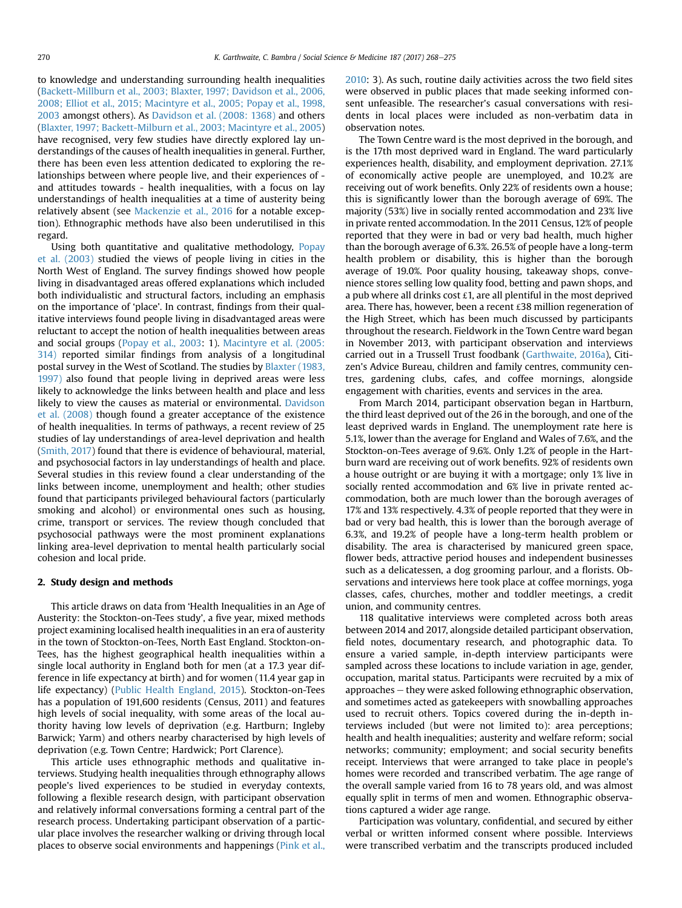to knowledge and understanding surrounding health inequalities ([Backett-Millburn et al., 2003; Blaxter, 1997; Davidson et al., 2006,](#page-7-0) [2008; Elliot et al., 2015; Macintyre et al., 2005; Popay et al., 1998,](#page-7-0) [2003](#page-7-0) amongst others). As [Davidson et al. \(2008: 1368\)](#page-7-0) and others ([Blaxter, 1997; Backett-Milburn et al., 2003; Macintyre et al., 2005\)](#page-7-0) have recognised, very few studies have directly explored lay understandings of the causes of health inequalities in general. Further, there has been even less attention dedicated to exploring the relationships between where people live, and their experiences of and attitudes towards - health inequalities, with a focus on lay understandings of health inequalities at a time of austerity being relatively absent (see [Mackenzie et al., 2016](#page-8-0) for a notable exception). Ethnographic methods have also been underutilised in this regard.

Using both quantitative and qualitative methodology, [Popay](#page-8-0) [et al. \(2003\)](#page-8-0) studied the views of people living in cities in the North West of England. The survey findings showed how people living in disadvantaged areas offered explanations which included both individualistic and structural factors, including an emphasis on the importance of 'place'. In contrast, findings from their qualitative interviews found people living in disadvantaged areas were reluctant to accept the notion of health inequalities between areas and social groups ([Popay et al., 2003](#page-8-0): 1). [Macintyre et al. \(2005:](#page-8-0) [314\)](#page-8-0) reported similar findings from analysis of a longitudinal postal survey in the West of Scotland. The studies by [Blaxter \(1983,](#page-7-0) [1997\)](#page-7-0) also found that people living in deprived areas were less likely to acknowledge the links between health and place and less likely to view the causes as material or environmental. [Davidson](#page-7-0) [et al. \(2008\)](#page-7-0) though found a greater acceptance of the existence of health inequalities. In terms of pathways, a recent review of 25 studies of lay understandings of area-level deprivation and health ([Smith, 2017](#page-8-0)) found that there is evidence of behavioural, material, and psychosocial factors in lay understandings of health and place. Several studies in this review found a clear understanding of the links between income, unemployment and health; other studies found that participants privileged behavioural factors (particularly smoking and alcohol) or environmental ones such as housing, crime, transport or services. The review though concluded that psychosocial pathways were the most prominent explanations linking area-level deprivation to mental health particularly social cohesion and local pride.

#### 2. Study design and methods

This article draws on data from 'Health Inequalities in an Age of Austerity: the Stockton-on-Tees study', a five year, mixed methods project examining localised health inequalities in an era of austerity in the town of Stockton-on-Tees, North East England. Stockton-on-Tees, has the highest geographical health inequalities within a single local authority in England both for men (at a 17.3 year difference in life expectancy at birth) and for women (11.4 year gap in life expectancy) [\(Public Health England, 2015](#page-8-0)). Stockton-on-Tees has a population of 191,600 residents (Census, 2011) and features high levels of social inequality, with some areas of the local authority having low levels of deprivation (e.g. Hartburn; Ingleby Barwick; Yarm) and others nearby characterised by high levels of deprivation (e.g. Town Centre; Hardwick; Port Clarence).

This article uses ethnographic methods and qualitative interviews. Studying health inequalities through ethnography allows people's lived experiences to be studied in everyday contexts, following a flexible research design, with participant observation and relatively informal conversations forming a central part of the research process. Undertaking participant observation of a particular place involves the researcher walking or driving through local places to observe social environments and happenings ([Pink et al.,](#page-8-0) [2010:](#page-8-0) 3). As such, routine daily activities across the two field sites were observed in public places that made seeking informed consent unfeasible. The researcher's casual conversations with residents in local places were included as non-verbatim data in observation notes.

The Town Centre ward is the most deprived in the borough, and is the 17th most deprived ward in England. The ward particularly experiences health, disability, and employment deprivation. 27.1% of economically active people are unemployed, and 10.2% are receiving out of work benefits. Only 22% of residents own a house; this is significantly lower than the borough average of 69%. The majority (53%) live in socially rented accommodation and 23% live in private rented accommodation. In the 2011 Census, 12% of people reported that they were in bad or very bad health, much higher than the borough average of 6.3%. 26.5% of people have a long-term health problem or disability, this is higher than the borough average of 19.0%. Poor quality housing, takeaway shops, convenience stores selling low quality food, betting and pawn shops, and a pub where all drinks cost  $\pounds$ 1, are all plentiful in the most deprived area. There has, however, been a recent £38 million regeneration of the High Street, which has been much discussed by participants throughout the research. Fieldwork in the Town Centre ward began in November 2013, with participant observation and interviews carried out in a Trussell Trust foodbank ([Garthwaite, 2016a\)](#page-7-0), Citizen's Advice Bureau, children and family centres, community centres, gardening clubs, cafes, and coffee mornings, alongside engagement with charities, events and services in the area.

From March 2014, participant observation began in Hartburn, the third least deprived out of the 26 in the borough, and one of the least deprived wards in England. The unemployment rate here is 5.1%, lower than the average for England and Wales of 7.6%, and the Stockton-on-Tees average of 9.6%. Only 1.2% of people in the Hartburn ward are receiving out of work benefits. 92% of residents own a house outright or are buying it with a mortgage; only 1% live in socially rented accommodation and 6% live in private rented accommodation, both are much lower than the borough averages of 17% and 13% respectively. 4.3% of people reported that they were in bad or very bad health, this is lower than the borough average of 6.3%, and 19.2% of people have a long-term health problem or disability. The area is characterised by manicured green space, flower beds, attractive period houses and independent businesses such as a delicatessen, a dog grooming parlour, and a florists. Observations and interviews here took place at coffee mornings, yoga classes, cafes, churches, mother and toddler meetings, a credit union, and community centres.

118 qualitative interviews were completed across both areas between 2014 and 2017, alongside detailed participant observation, field notes, documentary research, and photographic data. To ensure a varied sample, in-depth interview participants were sampled across these locations to include variation in age, gender, occupation, marital status. Participants were recruited by a mix of approaches - they were asked following ethnographic observation, and sometimes acted as gatekeepers with snowballing approaches used to recruit others. Topics covered during the in-depth interviews included (but were not limited to): area perceptions; health and health inequalities; austerity and welfare reform; social networks; community; employment; and social security benefits receipt. Interviews that were arranged to take place in people's homes were recorded and transcribed verbatim. The age range of the overall sample varied from 16 to 78 years old, and was almost equally split in terms of men and women. Ethnographic observations captured a wider age range.

Participation was voluntary, confidential, and secured by either verbal or written informed consent where possible. Interviews were transcribed verbatim and the transcripts produced included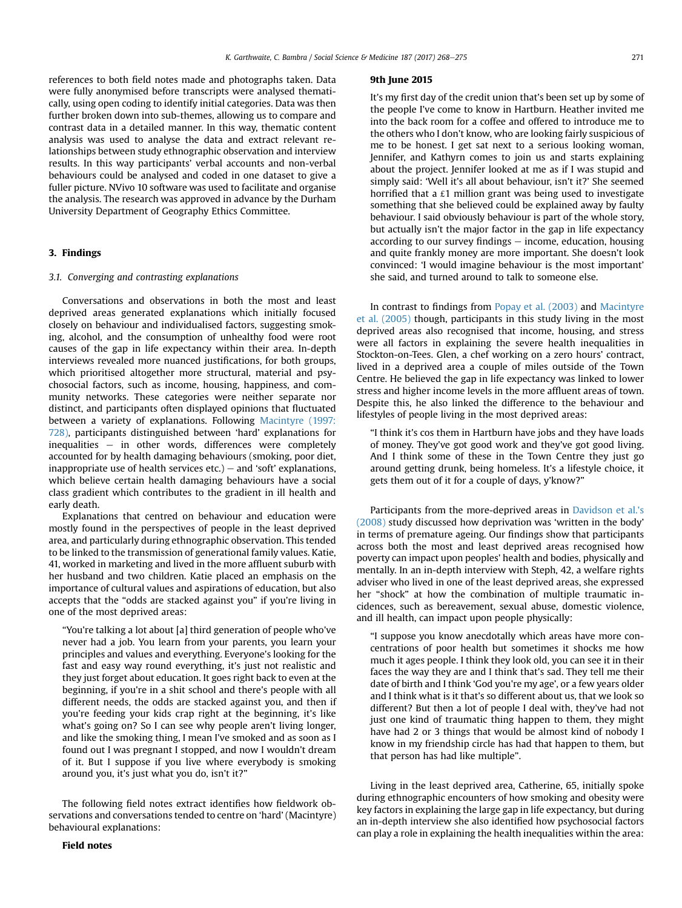references to both field notes made and photographs taken. Data were fully anonymised before transcripts were analysed thematically, using open coding to identify initial categories. Data was then further broken down into sub-themes, allowing us to compare and contrast data in a detailed manner. In this way, thematic content analysis was used to analyse the data and extract relevant relationships between study ethnographic observation and interview results. In this way participants' verbal accounts and non-verbal behaviours could be analysed and coded in one dataset to give a fuller picture. NVivo 10 software was used to facilitate and organise the analysis. The research was approved in advance by the Durham University Department of Geography Ethics Committee.

#### 3. Findings

#### 3.1. Converging and contrasting explanations

Conversations and observations in both the most and least deprived areas generated explanations which initially focused closely on behaviour and individualised factors, suggesting smoking, alcohol, and the consumption of unhealthy food were root causes of the gap in life expectancy within their area. In-depth interviews revealed more nuanced justifications, for both groups, which prioritised altogether more structural, material and psychosocial factors, such as income, housing, happiness, and community networks. These categories were neither separate nor distinct, and participants often displayed opinions that fluctuated between a variety of explanations. Following [Macintyre \(1997:](#page-8-0) [728\),](#page-8-0) participants distinguished between 'hard' explanations for inequalities  $-$  in other words, differences were completely accounted for by health damaging behaviours (smoking, poor diet, inappropriate use of health services  $etc.$ ) – and 'soft' explanations, which believe certain health damaging behaviours have a social class gradient which contributes to the gradient in ill health and early death.

Explanations that centred on behaviour and education were mostly found in the perspectives of people in the least deprived area, and particularly during ethnographic observation. This tended to be linked to the transmission of generational family values. Katie, 41, worked in marketing and lived in the more affluent suburb with her husband and two children. Katie placed an emphasis on the importance of cultural values and aspirations of education, but also accepts that the "odds are stacked against you" if you're living in one of the most deprived areas:

"You're talking a lot about [a] third generation of people who've never had a job. You learn from your parents, you learn your principles and values and everything. Everyone's looking for the fast and easy way round everything, it's just not realistic and they just forget about education. It goes right back to even at the beginning, if you're in a shit school and there's people with all different needs, the odds are stacked against you, and then if you're feeding your kids crap right at the beginning, it's like what's going on? So I can see why people aren't living longer, and like the smoking thing, I mean I've smoked and as soon as I found out I was pregnant I stopped, and now I wouldn't dream of it. But I suppose if you live where everybody is smoking around you, it's just what you do, isn't it?"

The following field notes extract identifies how fieldwork observations and conversations tended to centre on 'hard' (Macintyre) behavioural explanations:

#### 9th June 2015

It's my first day of the credit union that's been set up by some of the people I've come to know in Hartburn. Heather invited me into the back room for a coffee and offered to introduce me to the others who I don't know, who are looking fairly suspicious of me to be honest. I get sat next to a serious looking woman, Jennifer, and Kathyrn comes to join us and starts explaining about the project. Jennifer looked at me as if I was stupid and simply said: 'Well it's all about behaviour, isn't it?' She seemed horrified that a  $£1$  million grant was being used to investigate something that she believed could be explained away by faulty behaviour. I said obviously behaviour is part of the whole story, but actually isn't the major factor in the gap in life expectancy according to our survey findings  $-$  income, education, housing and quite frankly money are more important. She doesn't look convinced: 'I would imagine behaviour is the most important' she said, and turned around to talk to someone else.

In contrast to findings from [Popay et al. \(2003\)](#page-8-0) and [Macintyre](#page-8-0) [et al. \(2005\)](#page-8-0) though, participants in this study living in the most deprived areas also recognised that income, housing, and stress were all factors in explaining the severe health inequalities in Stockton-on-Tees. Glen, a chef working on a zero hours' contract, lived in a deprived area a couple of miles outside of the Town Centre. He believed the gap in life expectancy was linked to lower stress and higher income levels in the more affluent areas of town. Despite this, he also linked the difference to the behaviour and lifestyles of people living in the most deprived areas:

"I think it's cos them in Hartburn have jobs and they have loads of money. They've got good work and they've got good living. And I think some of these in the Town Centre they just go around getting drunk, being homeless. It's a lifestyle choice, it gets them out of it for a couple of days, y'know?"

Participants from the more-deprived areas in [Davidson et al.'s](#page-7-0) [\(2008\)](#page-7-0) study discussed how deprivation was 'written in the body' in terms of premature ageing. Our findings show that participants across both the most and least deprived areas recognised how poverty can impact upon peoples' health and bodies, physically and mentally. In an in-depth interview with Steph, 42, a welfare rights adviser who lived in one of the least deprived areas, she expressed her "shock" at how the combination of multiple traumatic incidences, such as bereavement, sexual abuse, domestic violence, and ill health, can impact upon people physically:

"I suppose you know anecdotally which areas have more concentrations of poor health but sometimes it shocks me how much it ages people. I think they look old, you can see it in their faces the way they are and I think that's sad. They tell me their date of birth and I think 'God you're my age', or a few years older and I think what is it that's so different about us, that we look so different? But then a lot of people I deal with, they've had not just one kind of traumatic thing happen to them, they might have had 2 or 3 things that would be almost kind of nobody I know in my friendship circle has had that happen to them, but that person has had like multiple".

Living in the least deprived area, Catherine, 65, initially spoke during ethnographic encounters of how smoking and obesity were key factors in explaining the large gap in life expectancy, but during an in-depth interview she also identified how psychosocial factors can play a role in explaining the health inequalities within the area: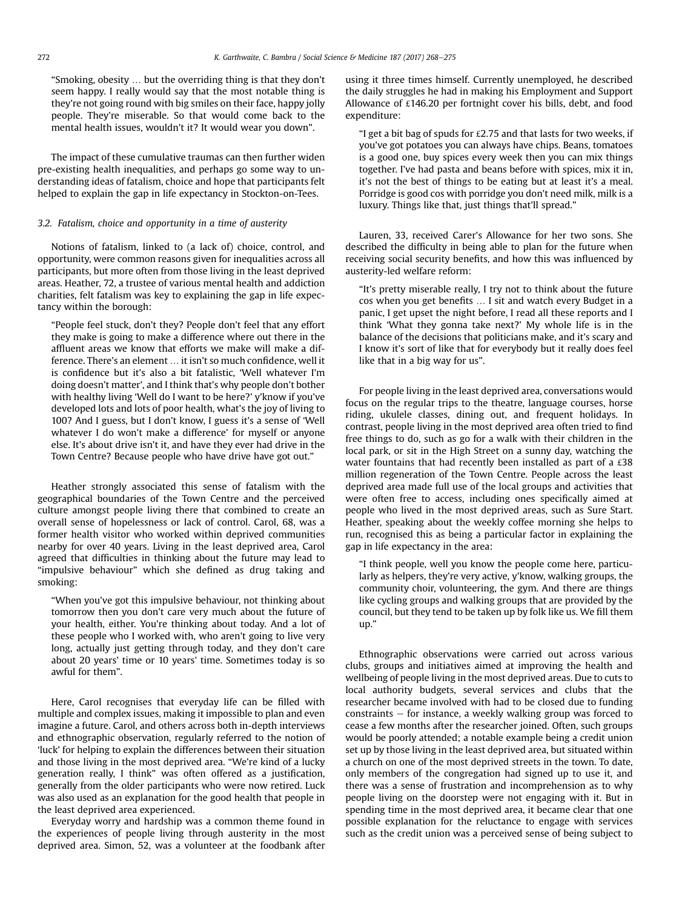"Smoking, obesity … but the overriding thing is that they don't seem happy. I really would say that the most notable thing is they're not going round with big smiles on their face, happy jolly people. They're miserable. So that would come back to the mental health issues, wouldn't it? It would wear you down".

The impact of these cumulative traumas can then further widen pre-existing health inequalities, and perhaps go some way to understanding ideas of fatalism, choice and hope that participants felt helped to explain the gap in life expectancy in Stockton-on-Tees.

#### 3.2. Fatalism, choice and opportunity in a time of austerity

Notions of fatalism, linked to (a lack of) choice, control, and opportunity, were common reasons given for inequalities across all participants, but more often from those living in the least deprived areas. Heather, 72, a trustee of various mental health and addiction charities, felt fatalism was key to explaining the gap in life expectancy within the borough:

"People feel stuck, don't they? People don't feel that any effort they make is going to make a difference where out there in the affluent areas we know that efforts we make will make a difference. There's an element … it isn't so much confidence, well it is confidence but it's also a bit fatalistic, 'Well whatever I'm doing doesn't matter', and I think that's why people don't bother with healthy living 'Well do I want to be here?' y'know if you've developed lots and lots of poor health, what's the joy of living to 100? And I guess, but I don't know, I guess it's a sense of 'Well whatever I do won't make a difference' for myself or anyone else. It's about drive isn't it, and have they ever had drive in the Town Centre? Because people who have drive have got out."

Heather strongly associated this sense of fatalism with the geographical boundaries of the Town Centre and the perceived culture amongst people living there that combined to create an overall sense of hopelessness or lack of control. Carol, 68, was a former health visitor who worked within deprived communities nearby for over 40 years. Living in the least deprived area, Carol agreed that difficulties in thinking about the future may lead to "impulsive behaviour" which she defined as drug taking and smoking:

"When you've got this impulsive behaviour, not thinking about tomorrow then you don't care very much about the future of your health, either. You're thinking about today. And a lot of these people who I worked with, who aren't going to live very long, actually just getting through today, and they don't care about 20 years' time or 10 years' time. Sometimes today is so awful for them".

Here, Carol recognises that everyday life can be filled with multiple and complex issues, making it impossible to plan and even imagine a future. Carol, and others across both in-depth interviews and ethnographic observation, regularly referred to the notion of 'luck' for helping to explain the differences between their situation and those living in the most deprived area. "We're kind of a lucky generation really, I think" was often offered as a justification, generally from the older participants who were now retired. Luck was also used as an explanation for the good health that people in the least deprived area experienced.

Everyday worry and hardship was a common theme found in the experiences of people living through austerity in the most deprived area. Simon, 52, was a volunteer at the foodbank after using it three times himself. Currently unemployed, he described the daily struggles he had in making his Employment and Support Allowance of £146.20 per fortnight cover his bills, debt, and food expenditure:

"I get a bit bag of spuds for  $£2.75$  and that lasts for two weeks, if you've got potatoes you can always have chips. Beans, tomatoes is a good one, buy spices every week then you can mix things together. I've had pasta and beans before with spices, mix it in, it's not the best of things to be eating but at least it's a meal. Porridge is good cos with porridge you don't need milk, milk is a luxury. Things like that, just things that'll spread."

Lauren, 33, received Carer's Allowance for her two sons. She described the difficulty in being able to plan for the future when receiving social security benefits, and how this was influenced by austerity-led welfare reform:

"It's pretty miserable really, I try not to think about the future cos when you get benefits … I sit and watch every Budget in a panic, I get upset the night before, I read all these reports and I think 'What they gonna take next?' My whole life is in the balance of the decisions that politicians make, and it's scary and I know it's sort of like that for everybody but it really does feel like that in a big way for us".

For people living in the least deprived area, conversations would focus on the regular trips to the theatre, language courses, horse riding, ukulele classes, dining out, and frequent holidays. In contrast, people living in the most deprived area often tried to find free things to do, such as go for a walk with their children in the local park, or sit in the High Street on a sunny day, watching the water fountains that had recently been installed as part of a £38 million regeneration of the Town Centre. People across the least deprived area made full use of the local groups and activities that were often free to access, including ones specifically aimed at people who lived in the most deprived areas, such as Sure Start. Heather, speaking about the weekly coffee morning she helps to run, recognised this as being a particular factor in explaining the gap in life expectancy in the area:

"I think people, well you know the people come here, particularly as helpers, they're very active, y'know, walking groups, the community choir, volunteering, the gym. And there are things like cycling groups and walking groups that are provided by the council, but they tend to be taken up by folk like us. We fill them up."

Ethnographic observations were carried out across various clubs, groups and initiatives aimed at improving the health and wellbeing of people living in the most deprived areas. Due to cuts to local authority budgets, several services and clubs that the researcher became involved with had to be closed due to funding constraints  $-$  for instance, a weekly walking group was forced to cease a few months after the researcher joined. Often, such groups would be poorly attended; a notable example being a credit union set up by those living in the least deprived area, but situated within a church on one of the most deprived streets in the town. To date, only members of the congregation had signed up to use it, and there was a sense of frustration and incomprehension as to why people living on the doorstep were not engaging with it. But in spending time in the most deprived area, it became clear that one possible explanation for the reluctance to engage with services such as the credit union was a perceived sense of being subject to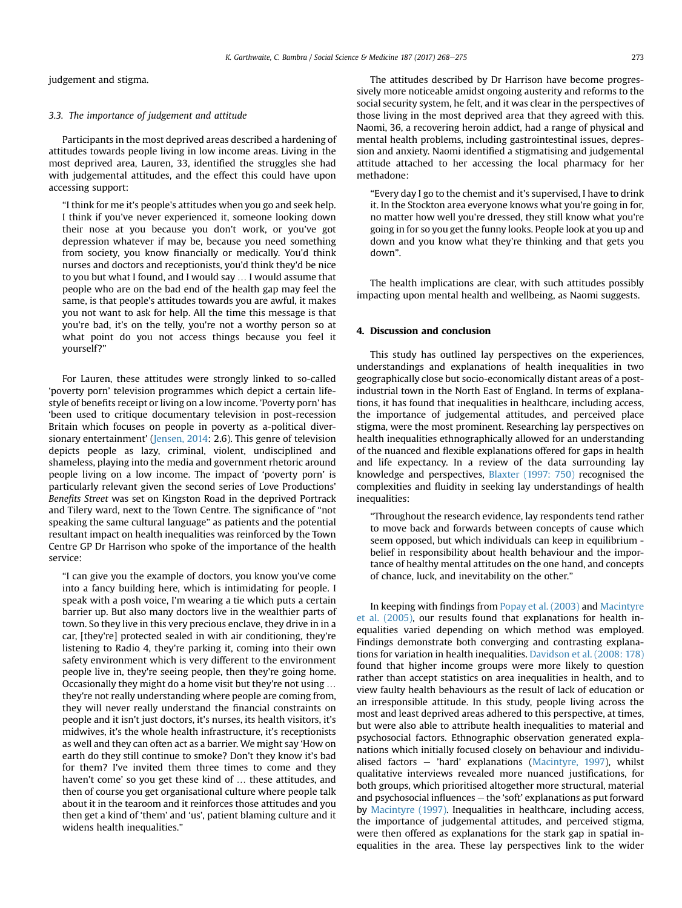judgement and stigma.

#### 3.3. The importance of judgement and attitude

Participants in the most deprived areas described a hardening of attitudes towards people living in low income areas. Living in the most deprived area, Lauren, 33, identified the struggles she had with judgemental attitudes, and the effect this could have upon accessing support:

"I think for me it's people's attitudes when you go and seek help. I think if you've never experienced it, someone looking down their nose at you because you don't work, or you've got depression whatever if may be, because you need something from society, you know financially or medically. You'd think nurses and doctors and receptionists, you'd think they'd be nice to you but what I found, and I would say … I would assume that people who are on the bad end of the health gap may feel the same, is that people's attitudes towards you are awful, it makes you not want to ask for help. All the time this message is that you're bad, it's on the telly, you're not a worthy person so at what point do you not access things because you feel it yourself?"

For Lauren, these attitudes were strongly linked to so-called 'poverty porn' television programmes which depict a certain lifestyle of benefits receipt or living on a low income. 'Poverty porn' has 'been used to critique documentary television in post-recession Britain which focuses on people in poverty as a-political diversionary entertainment' [\(Jensen, 2014:](#page-8-0) 2.6). This genre of television depicts people as lazy, criminal, violent, undisciplined and shameless, playing into the media and government rhetoric around people living on a low income. The impact of 'poverty porn' is particularly relevant given the second series of Love Productions' Benefits Street was set on Kingston Road in the deprived Portrack and Tilery ward, next to the Town Centre. The significance of "not speaking the same cultural language" as patients and the potential resultant impact on health inequalities was reinforced by the Town Centre GP Dr Harrison who spoke of the importance of the health service:

"I can give you the example of doctors, you know you've come into a fancy building here, which is intimidating for people. I speak with a posh voice, I'm wearing a tie which puts a certain barrier up. But also many doctors live in the wealthier parts of town. So they live in this very precious enclave, they drive in in a car, [they're] protected sealed in with air conditioning, they're listening to Radio 4, they're parking it, coming into their own safety environment which is very different to the environment people live in, they're seeing people, then they're going home. Occasionally they might do a home visit but they're not using … they're not really understanding where people are coming from, they will never really understand the financial constraints on people and it isn't just doctors, it's nurses, its health visitors, it's midwives, it's the whole health infrastructure, it's receptionists as well and they can often act as a barrier. We might say 'How on earth do they still continue to smoke? Don't they know it's bad for them? I've invited them three times to come and they haven't come' so you get these kind of … these attitudes, and then of course you get organisational culture where people talk about it in the tearoom and it reinforces those attitudes and you then get a kind of 'them' and 'us', patient blaming culture and it widens health inequalities."

The attitudes described by Dr Harrison have become progressively more noticeable amidst ongoing austerity and reforms to the social security system, he felt, and it was clear in the perspectives of those living in the most deprived area that they agreed with this. Naomi, 36, a recovering heroin addict, had a range of physical and mental health problems, including gastrointestinal issues, depression and anxiety. Naomi identified a stigmatising and judgemental attitude attached to her accessing the local pharmacy for her methadone:

"Every day I go to the chemist and it's supervised, I have to drink it. In the Stockton area everyone knows what you're going in for, no matter how well you're dressed, they still know what you're going in for so you get the funny looks. People look at you up and down and you know what they're thinking and that gets you down".

The health implications are clear, with such attitudes possibly impacting upon mental health and wellbeing, as Naomi suggests.

#### 4. Discussion and conclusion

This study has outlined lay perspectives on the experiences, understandings and explanations of health inequalities in two geographically close but socio-economically distant areas of a postindustrial town in the North East of England. In terms of explanations, it has found that inequalities in healthcare, including access, the importance of judgemental attitudes, and perceived place stigma, were the most prominent. Researching lay perspectives on health inequalities ethnographically allowed for an understanding of the nuanced and flexible explanations offered for gaps in health and life expectancy. In a review of the data surrounding lay knowledge and perspectives, [Blaxter \(1997: 750\)](#page-7-0) recognised the complexities and fluidity in seeking lay understandings of health inequalities:

"Throughout the research evidence, lay respondents tend rather to move back and forwards between concepts of cause which seem opposed, but which individuals can keep in equilibrium belief in responsibility about health behaviour and the importance of healthy mental attitudes on the one hand, and concepts of chance, luck, and inevitability on the other."

In keeping with findings from [Popay et al. \(2003\)](#page-8-0) and [Macintyre](#page-8-0) [et al. \(2005\)](#page-8-0), our results found that explanations for health inequalities varied depending on which method was employed. Findings demonstrate both converging and contrasting explanations for variation in health inequalities. [Davidson et al. \(2008: 178\)](#page-7-0) found that higher income groups were more likely to question rather than accept statistics on area inequalities in health, and to view faulty health behaviours as the result of lack of education or an irresponsible attitude. In this study, people living across the most and least deprived areas adhered to this perspective, at times, but were also able to attribute health inequalities to material and psychosocial factors. Ethnographic observation generated explanations which initially focused closely on behaviour and individualised factors  $-$  'hard' explanations [\(Macintyre, 1997\)](#page-8-0), whilst qualitative interviews revealed more nuanced justifications, for both groups, which prioritised altogether more structural, material and psychosocial influences  $-$  the 'soft' explanations as put forward by [Macintyre \(1997\)](#page-8-0). Inequalities in healthcare, including access, the importance of judgemental attitudes, and perceived stigma, were then offered as explanations for the stark gap in spatial inequalities in the area. These lay perspectives link to the wider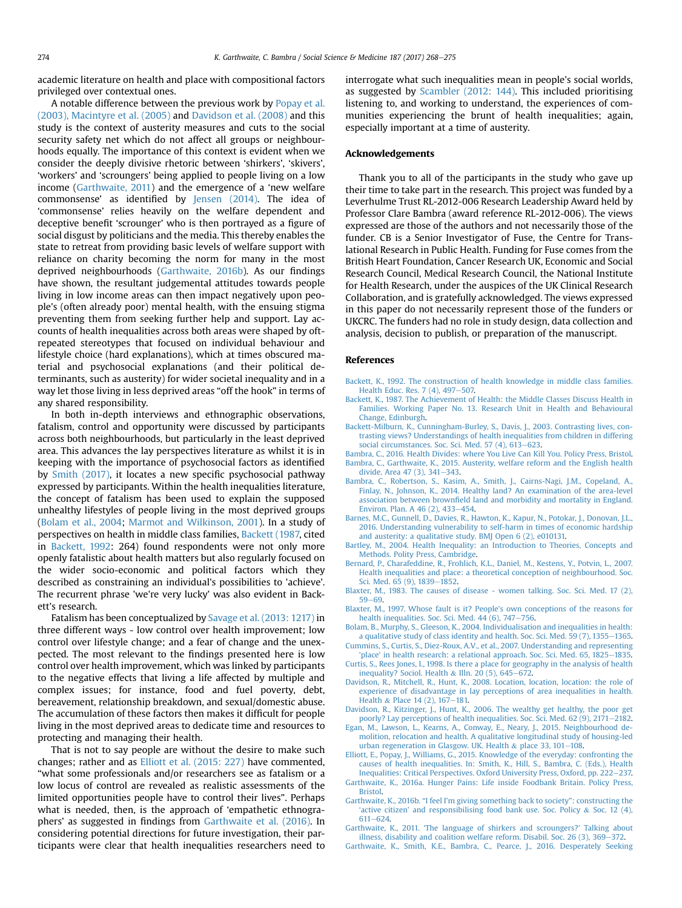<span id="page-7-0"></span>academic literature on health and place with compositional factors privileged over contextual ones.

A notable difference between the previous work by [Popay et al.](#page-8-0) [\(2003\), Macintyre et al. \(2005\)](#page-8-0) and Davidson et al. (2008) and this study is the context of austerity measures and cuts to the social security safety net which do not affect all groups or neighbourhoods equally. The importance of this context is evident when we consider the deeply divisive rhetoric between 'shirkers', 'skivers', 'workers' and 'scroungers' being applied to people living on a low income (Garthwaite, 2011) and the emergence of a 'new welfare commonsense' as identified by [Jensen \(2014\).](#page-8-0) The idea of 'commonsense' relies heavily on the welfare dependent and deceptive benefit 'scrounger' who is then portrayed as a figure of social disgust by politicians and the media. This thereby enables the state to retreat from providing basic levels of welfare support with reliance on charity becoming the norm for many in the most deprived neighbourhoods (Garthwaite, 2016b). As our findings have shown, the resultant judgemental attitudes towards people living in low income areas can then impact negatively upon people's (often already poor) mental health, with the ensuing stigma preventing them from seeking further help and support. Lay accounts of health inequalities across both areas were shaped by oftrepeated stereotypes that focused on individual behaviour and lifestyle choice (hard explanations), which at times obscured material and psychosocial explanations (and their political determinants, such as austerity) for wider societal inequality and in a way let those living in less deprived areas "off the hook" in terms of any shared responsibility.

In both in-depth interviews and ethnographic observations, fatalism, control and opportunity were discussed by participants across both neighbourhoods, but particularly in the least deprived area. This advances the lay perspectives literature as whilst it is in keeping with the importance of psychosocial factors as identified by [Smith \(2017\),](#page-8-0) it locates a new specific psychosocial pathway expressed by participants. Within the health inequalities literature, the concept of fatalism has been used to explain the supposed unhealthy lifestyles of people living in the most deprived groups (Bolam et al., 2004; [Marmot and Wilkinson, 2001](#page-8-0)). In a study of perspectives on health in middle class families, Backett (1987, cited in Backett, 1992: 264) found respondents were not only more openly fatalistic about health matters but also regularly focused on the wider socio-economic and political factors which they described as constraining an individual's possibilities to 'achieve'. The recurrent phrase 'we're very lucky' was also evident in Backett's research.

Fatalism has been conceptualized by [Savage et al. \(2013: 1217\)](#page-8-0) in three different ways - low control over health improvement; low control over lifestyle change; and a fear of change and the unexpected. The most relevant to the findings presented here is low control over health improvement, which was linked by participants to the negative effects that living a life affected by multiple and complex issues; for instance, food and fuel poverty, debt, bereavement, relationship breakdown, and sexual/domestic abuse. The accumulation of these factors then makes it difficult for people living in the most deprived areas to dedicate time and resources to protecting and managing their health.

That is not to say people are without the desire to make such changes; rather and as Elliott et al. (2015: 227) have commented, "what some professionals and/or researchers see as fatalism or a low locus of control are revealed as realistic assessments of the limited opportunities people have to control their lives". Perhaps what is needed, then, is the approach of 'empathetic ethnographers' as suggested in findings from Garthwaite et al. (2016). In considering potential directions for future investigation, their participants were clear that health inequalities researchers need to interrogate what such inequalities mean in people's social worlds, as suggested by [Scambler \(2012: 144\).](#page-8-0) This included prioritising listening to, and working to understand, the experiences of communities experiencing the brunt of health inequalities; again, especially important at a time of austerity.

#### Acknowledgements

Thank you to all of the participants in the study who gave up their time to take part in the research. This project was funded by a Leverhulme Trust RL-2012-006 Research Leadership Award held by Professor Clare Bambra (award reference RL-2012-006). The views expressed are those of the authors and not necessarily those of the funder. CB is a Senior Investigator of Fuse, the Centre for Translational Research in Public Health. Funding for Fuse comes from the British Heart Foundation, Cancer Research UK, Economic and Social Research Council, Medical Research Council, the National Institute for Health Research, under the auspices of the UK Clinical Research Collaboration, and is gratefully acknowledged. The views expressed in this paper do not necessarily represent those of the funders or UKCRC. The funders had no role in study design, data collection and analysis, decision to publish, or preparation of the manuscript.

#### References

- [Backett, K., 1992. The construction of health knowledge in middle class families.](http://refhub.elsevier.com/S0277-9536(17)30315-5/sref1) [Health Educ. Res. 7 \(4\), 497](http://refhub.elsevier.com/S0277-9536(17)30315-5/sref1)-[507.](http://refhub.elsevier.com/S0277-9536(17)30315-5/sref1)
- [Backett, K., 1987. The Achievement of Health: the Middle Classes Discuss Health in](http://refhub.elsevier.com/S0277-9536(17)30315-5/sref2) [Families. Working Paper No. 13. Research Unit in Health and Behavioural](http://refhub.elsevier.com/S0277-9536(17)30315-5/sref2) [Change, Edinburgh](http://refhub.elsevier.com/S0277-9536(17)30315-5/sref2).
- [Backett-Milburn, K., Cunningham-Burley, S., Davis, J., 2003. Contrasting lives, con](http://refhub.elsevier.com/S0277-9536(17)30315-5/sref3)[trasting views? Understandings of health inequalities from children in differing](http://refhub.elsevier.com/S0277-9536(17)30315-5/sref3) [social circumstances. Soc. Sci. Med. 57 \(4\), 613](http://refhub.elsevier.com/S0277-9536(17)30315-5/sref3)-[623](http://refhub.elsevier.com/S0277-9536(17)30315-5/sref3).

[Bambra, C., 2016. Health Divides: where You Live Can Kill You. Policy Press, Bristol](http://refhub.elsevier.com/S0277-9536(17)30315-5/sref4).

[Bambra, C., Garthwaite, K., 2015. Austerity, welfare reform and the English health](http://refhub.elsevier.com/S0277-9536(17)30315-5/sref5) [divide. Area 47 \(3\), 341](http://refhub.elsevier.com/S0277-9536(17)30315-5/sref5)-[343](http://refhub.elsevier.com/S0277-9536(17)30315-5/sref5).

- [Bambra, C., Robertson, S., Kasim, A., Smith, J., Cairns-Nagi, J.M., Copeland, A.,](http://refhub.elsevier.com/S0277-9536(17)30315-5/sref6) [Finlay, N., Johnson, K., 2014. Healthy land? An examination of the area-level](http://refhub.elsevier.com/S0277-9536(17)30315-5/sref6) association between brownfi[eld land and morbidity and mortality in England.](http://refhub.elsevier.com/S0277-9536(17)30315-5/sref6) [Environ. Plan. A 46 \(2\), 433](http://refhub.elsevier.com/S0277-9536(17)30315-5/sref6)-[454](http://refhub.elsevier.com/S0277-9536(17)30315-5/sref6).
- [Barnes, M.C., Gunnell, D., Davies, R., Hawton, K., Kapur, N., Potokar, J., Donovan, J.L.,](http://refhub.elsevier.com/S0277-9536(17)30315-5/sref41) [2016. Understanding vulnerability to self-harm in times of economic hardship](http://refhub.elsevier.com/S0277-9536(17)30315-5/sref41) [and austerity: a qualitative study. BMJ Open 6 \(2\), e010131.](http://refhub.elsevier.com/S0277-9536(17)30315-5/sref41)
- [Bartley, M., 2004. Health Inequality: an Introduction to Theories, Concepts and](http://refhub.elsevier.com/S0277-9536(17)30315-5/sref7) [Methods. Polity Press, Cambridge.](http://refhub.elsevier.com/S0277-9536(17)30315-5/sref7)
- [Bernard, P., Charafeddine, R., Frohlich, K.L., Daniel, M., Kestens, Y., Potvin, L., 2007.](http://refhub.elsevier.com/S0277-9536(17)30315-5/sref42) [Health inequalities and place: a theoretical conception of neighbourhood. Soc.](http://refhub.elsevier.com/S0277-9536(17)30315-5/sref42) [Sci. Med. 65 \(9\), 1839](http://refhub.elsevier.com/S0277-9536(17)30315-5/sref42)-[1852](http://refhub.elsevier.com/S0277-9536(17)30315-5/sref42).
- [Blaxter, M., 1983. The causes of disease women talking. Soc. Sci. Med. 17 \(2\),](http://refhub.elsevier.com/S0277-9536(17)30315-5/sref8)  $59 - 69.$  $59 - 69.$  $59 - 69.$
- [Blaxter, M., 1997. Whose fault is it? People's own conceptions of the reasons for](http://refhub.elsevier.com/S0277-9536(17)30315-5/sref9) health inequalities. Soc. Sci. Med.  $44(6)$ , 747-[756.](http://refhub.elsevier.com/S0277-9536(17)30315-5/sref9)
- [Bolam, B., Murphy, S., Gleeson, K., 2004. Individualisation and inequalities in health:](http://refhub.elsevier.com/S0277-9536(17)30315-5/sref10) a qualitative study of class identity and health. Soc. Sci. Med. 59 $(7)$ , 1355–[1365](http://refhub.elsevier.com/S0277-9536(17)30315-5/sref10).
- [Cummins, S., Curtis, S., Diez-Roux, A.V., et al., 2007. Understanding and representing](http://refhub.elsevier.com/S0277-9536(17)30315-5/sref11) ['place' in health research: a relational approach. Soc. Sci. Med. 65, 1825](http://refhub.elsevier.com/S0277-9536(17)30315-5/sref11)-[1835](http://refhub.elsevier.com/S0277-9536(17)30315-5/sref11).
- [Curtis, S., Rees Jones, I., 1998. Is there a place for geography in the analysis of health](http://refhub.elsevier.com/S0277-9536(17)30315-5/sref12) [inequality? Sociol. Health](http://refhub.elsevier.com/S0277-9536(17)30315-5/sref12) & Illn. 20 (5),  $645-672$  $645-672$ .
- [Davidson, R., Mitchell, R., Hunt, K., 2008. Location, location, location: the role of](http://refhub.elsevier.com/S0277-9536(17)30315-5/sref13) [experience of disadvantage in lay perceptions of area inequalities in health.](http://refhub.elsevier.com/S0277-9536(17)30315-5/sref13) [Health](http://refhub.elsevier.com/S0277-9536(17)30315-5/sref13) & Place  $14(2)$ ,  $167-181$ .
- [Davidson, R., Kitzinger, J., Hunt, K., 2006. The wealthy get healthy, the poor get](http://refhub.elsevier.com/S0277-9536(17)30315-5/sref14) poorly? Lay perceptions of health inequalities. Soc. Sci. Med.  $62(9)$ ,  $2171-2182$  $2171-2182$ .
- [Egan, M., Lawson, L., Kearns, A., Conway, E., Neary, J., 2015. Neighbourhood de](http://refhub.elsevier.com/S0277-9536(17)30315-5/sref15)[molition, relocation and health. A qualitative longitudinal study of housing-led](http://refhub.elsevier.com/S0277-9536(17)30315-5/sref15) [urban regeneration in Glasgow. UK. Health](http://refhub.elsevier.com/S0277-9536(17)30315-5/sref15) & place 33,  $101-108$ .
- [Elliott, E., Popay, J., Williams, G., 2015. Knowledge of the everyday: confronting the](http://refhub.elsevier.com/S0277-9536(17)30315-5/sref16) [causes of health inequalities. In: Smith, K., Hill, S., Bambra, C. \(Eds.\), Health](http://refhub.elsevier.com/S0277-9536(17)30315-5/sref16) [Inequalities: Critical Perspectives. Oxford University Press, Oxford, pp. 222](http://refhub.elsevier.com/S0277-9536(17)30315-5/sref16)-[237.](http://refhub.elsevier.com/S0277-9536(17)30315-5/sref16)

[Garthwaite, K., 2016a. Hunger Pains: Life inside Foodbank Britain. Policy Press,](http://refhub.elsevier.com/S0277-9536(17)30315-5/sref17) **[Bristol](http://refhub.elsevier.com/S0277-9536(17)30315-5/sref17)** 

- Garthwaite, K., 2016b. "[I feel I'm giving something back to society](http://refhub.elsevier.com/S0277-9536(17)30315-5/sref18)": constructing the 'active citizen' [and responsibilising food bank use. Soc. Policy](http://refhub.elsevier.com/S0277-9536(17)30315-5/sref18) & [Soc. 12 \(4\),](http://refhub.elsevier.com/S0277-9536(17)30315-5/sref18)  $611 - 624$  $611 - 624$  $611 - 624$ .
- Garthwaite, K., 2011. '[The language of shirkers and scroungers?](http://refhub.elsevier.com/S0277-9536(17)30315-5/sref19)' Talking about [illness, disability and coalition welfare reform. Disabil. Soc. 26 \(3\), 369](http://refhub.elsevier.com/S0277-9536(17)30315-5/sref19)-[372](http://refhub.elsevier.com/S0277-9536(17)30315-5/sref19).
- [Garthwaite, K., Smith, K.E., Bambra, C., Pearce, J., 2016. Desperately Seeking](http://refhub.elsevier.com/S0277-9536(17)30315-5/sref43)